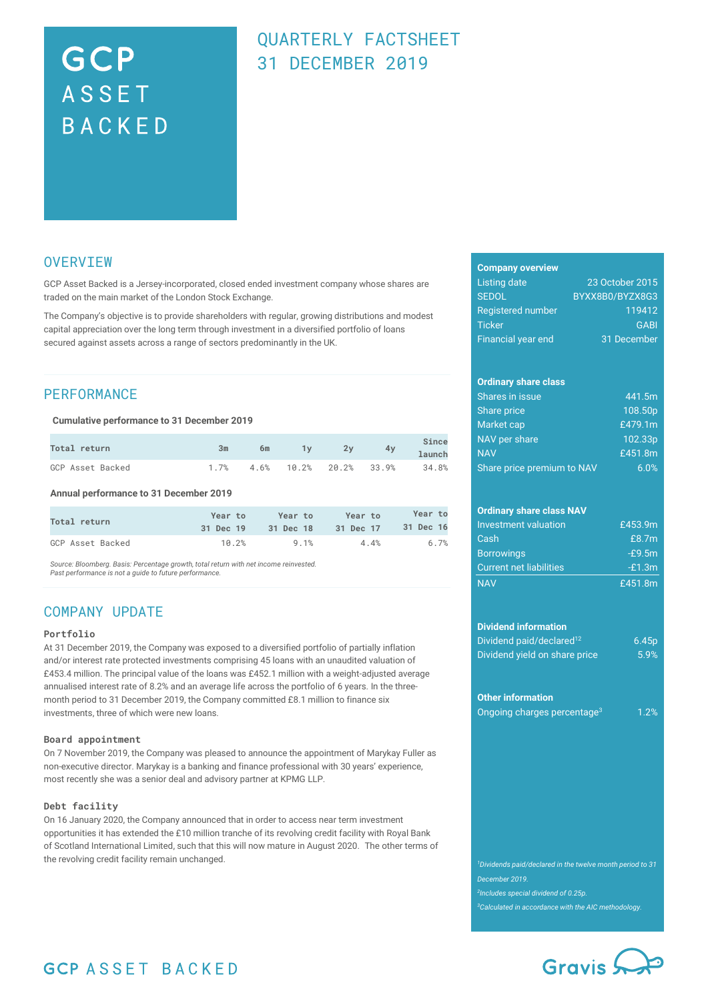# GCP **ASSET** BACKED

# QUARTERLY FACTSHEET 31 DECEMBER 2019

### **OVERVIEW**

GCP Asset Backed is a Jersey-incorporated, closed ended investment company whose shares are traded on the main market of the London Stock Exchange.

The Company's objective is to provide shareholders with regular, growing distributions and modest capital appreciation over the long term through investment in a diversified portfolio of loans secured against assets across a range of sectors predominantly in the UK.

### **PERFORMANCE**

### **Cumulative performance to 31 December 2019**

| Total return     | Зm | 6m | 2v | 4v                             | Since<br>launch |
|------------------|----|----|----|--------------------------------|-----------------|
| GCP Asset Backed |    |    |    | $1.7\%$ 4.6% 10.2% 20.2% 33.9% | 34.8%           |

**Annual performance to 31 December 2019**

| Total return     | Year to   | Year to   | Year to   | Year to   |
|------------------|-----------|-----------|-----------|-----------|
|                  | 31 Dec 19 | 31 Dec 18 | 31 Dec 17 | 31 Dec 16 |
| GCP Asset Backed | 10.2%     | 9.1%      | 4.4%      | 6.7%      |

*Source: Bloomberg. Basis: Percentage growth, total return with net income reinvested. Past performance is not a guide to future performance.*

### COMPANY UPDATE

### **Portfolio**

At 31 December 2019, the Company was exposed to a diversified portfolio of partially inflation and/or interest rate protected investments comprising 45 loans with an unaudited valuation of £453.4 million. The principal value of the loans was £452.1 million with a weight-adjusted average annualised interest rate of 8.2% and an average life across the portfolio of 6 years. In the threemonth period to 31 December 2019, the Company committed £8.1 million to finance six investments, three of which were new loans.

#### **Board appointment**

On 7 November 2019, the Company was pleased to announce the appointment of Marykay Fuller as non-executive director. Marykay is a banking and finance professional with 30 years' experience, most recently she was a senior deal and advisory partner at KPMG LLP.

### **Debt facility**

On 16 January 2020, the Company announced that in order to access near term investment opportunities it has extended the £10 million tranche of its revolving credit facility with Royal Bank of Scotland International Limited, such that this will now mature in August 2020. The other terms of the revolving credit facility remain unchanged.

#### **Company overview**

| Listing date              | 23 October 2015 |
|---------------------------|-----------------|
| <b>SEDOL</b>              | BYXX8B0/BYZX8G3 |
| <b>Registered number</b>  | 119412          |
| <b>Ticker</b>             | <b>GABI</b>     |
| <b>Financial year end</b> | 31 December     |

### **Ordinary share class**

| <b>Shares in issue</b>     | 441.5m  |
|----------------------------|---------|
| Share price                | 108.50p |
| Market cap                 | £479.1m |
| NAV per share              | 102.33p |
| <b>NAV</b>                 | £451.8m |
| Share price premium to NAV | 6.0%    |

### **Ordinary share class NAV**

| Investment valuation           | £453.9m  |
|--------------------------------|----------|
| Cash                           | £8.7m    |
| <b>Borrowings</b>              | $-E9.5m$ |
| <b>Current net liabilities</b> | $-E1.3m$ |
| <b>NAV</b>                     | £451.8m  |

#### **Dividend information**

| Dividend paid/declared <sup>12</sup> | 6.45p |
|--------------------------------------|-------|
| Dividend yield on share price        | 5.9%  |

#### **Other information**

|  | Ongoing charges percentage <sup>3</sup> | 1.2% |
|--|-----------------------------------------|------|
|  |                                         |      |

*Dividends paid/declared in the twelve month period to 31 December 2019. Includes special dividend of 0.25p. Calculated in accordance with the AIC methodology.*



# **GCP ASSET BACKED**